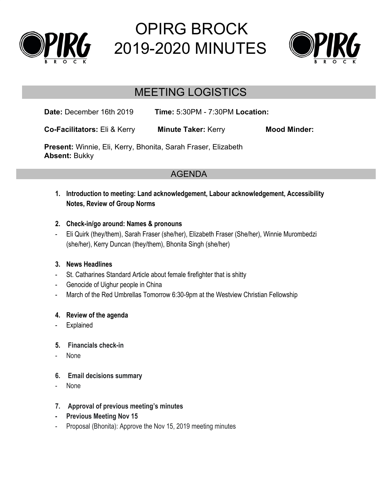

# OPIRG BROCK 2019-2020 MINUTES



# MEETING LOGISTICS

**Date:** December 16th 2019 **Time:** 5:30PM - 7:30PM **Location:**

**Co-Facilitators:** Eli & Kerry **Minute Taker:** Kerry **Mood Minder:**

**Present:** Winnie, Eli, Kerry, Bhonita, Sarah Fraser, Elizabeth **Absent:** Bukky

# AGENDA

- **1. Introduction to meeting: Land acknowledgement, Labour acknowledgement, Accessibility Notes, Review of Group Norms**
- **2. Check-in/go around: Names & pronouns**
- Eli Quirk (they/them), Sarah Fraser (she/her), Elizabeth Fraser (She/her), Winnie Murombedzi (she/her), Kerry Duncan (they/them), Bhonita Singh (she/her)

# **3. News Headlines**

- St. Catharines Standard Article about female firefighter that is shitty
- Genocide of Uighur people in China
- March of the Red Umbrellas Tomorrow 6:30-9pm at the Westview Christian Fellowship

# **4. Review of the agenda**

- Explained
- **5. Financials check-in**
- None
- **6. Email decisions summary**
- None

# **7. Approval of previous meeting's minutes**

- **- Previous Meeting Nov 15**
- Proposal (Bhonita): Approve the Nov 15, 2019 meeting minutes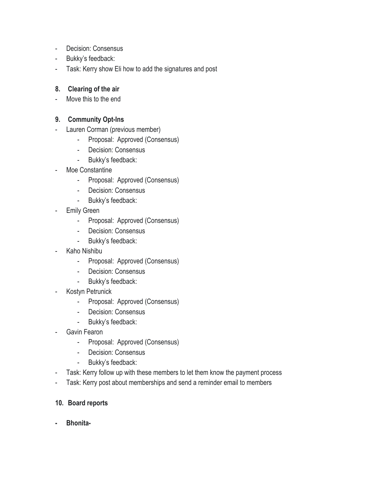- Decision: Consensus
- Bukky's feedback:
- Task: Kerry show Eli how to add the signatures and post

#### **8. Clearing of the air**

- Move this to the end

### **9. Community Opt-Ins**

- Lauren Corman (previous member)
	- Proposal: Approved (Consensus)
	- Decision: Consensus
	- Bukky's feedback:
- Moe Constantine
	- Proposal: Approved (Consensus)
	- Decision: Consensus
	- Bukky's feedback:
- Emily Green
	- Proposal: Approved (Consensus)
	- Decision: Consensus
	- Bukky's feedback:
- Kaho Nishibu
	- Proposal: Approved (Consensus)
	- Decision: Consensus
	- Bukky's feedback:
- Kostyn Petrunick
	- Proposal: Approved (Consensus)
	- Decision: Consensus
	- Bukky's feedback:
- Gavin Fearon
	- Proposal: Approved (Consensus)
	- Decision: Consensus
	- Bukky's feedback:
- Task: Kerry follow up with these members to let them know the payment process
- Task: Kerry post about memberships and send a reminder email to members

#### **10. Board reports**

**- Bhonita-**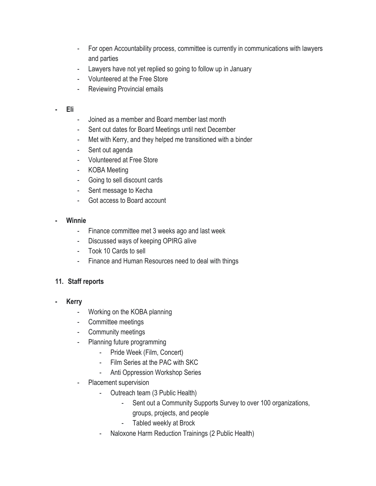- For open Accountability process, committee is currently in communications with lawyers and parties
- Lawyers have not yet replied so going to follow up in January
- Volunteered at the Free Store
- Reviewing Provincial emails

#### **- Eli**

- Joined as a member and Board member last month
- Sent out dates for Board Meetings until next December
- Met with Kerry, and they helped me transitioned with a binder
- Sent out agenda
- Volunteered at Free Store
- KOBA Meeting
- Going to sell discount cards
- Sent message to Kecha
- Got access to Board account

# **- Winnie**

- Finance committee met 3 weeks ago and last week
- Discussed ways of keeping OPIRG alive
- Took 10 Cards to sell
- Finance and Human Resources need to deal with things

# **11. Staff reports**

- **- Kerry**
	- Working on the KOBA planning
	- Committee meetings
	- Community meetings
	- Planning future programming
		- Pride Week (Film, Concert)
		- Film Series at the PAC with SKC
		- Anti Oppression Workshop Series
	- Placement supervision
		- Outreach team (3 Public Health)
			- Sent out a Community Supports Survey to over 100 organizations,
				- groups, projects, and people
			- Tabled weekly at Brock
		- Naloxone Harm Reduction Trainings (2 Public Health)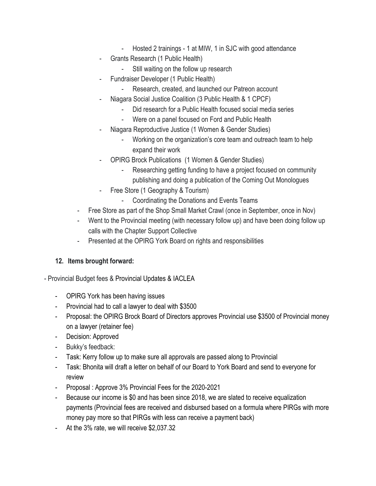- Hosted 2 trainings 1 at MIW, 1 in SJC with good attendance
- Grants Research (1 Public Health)
	- Still waiting on the follow up research
- Fundraiser Developer (1 Public Health)
	- Research, created, and launched our Patreon account
- Niagara Social Justice Coalition (3 Public Health & 1 CPCF)
	- Did research for a Public Health focused social media series
	- Were on a panel focused on Ford and Public Health
- Niagara Reproductive Justice (1 Women & Gender Studies)
	- Working on the organization's core team and outreach team to help expand their work
- OPIRG Brock Publications (1 Women & Gender Studies)
	- Researching getting funding to have a project focused on community publishing and doing a publication of the Coming Out Monologues
- Free Store (1 Geography & Tourism)
	- Coordinating the Donations and Events Teams
- Free Store as part of the Shop Small Market Crawl (once in September, once in Nov)
- Went to the Provincial meeting (with necessary follow up) and have been doing follow up calls with the Chapter Support Collective
- Presented at the OPIRG York Board on rights and responsibilities

# **12. Items brought forward:**

- Provincial Budget fees & Provincial Updates & IACLEA

- OPIRG York has been having issues
- Provincial had to call a lawyer to deal with \$3500
- Proposal: the OPIRG Brock Board of Directors approves Provincial use \$3500 of Provincial money on a lawyer (retainer fee)
- Decision: Approved
- Bukky's feedback:
- Task: Kerry follow up to make sure all approvals are passed along to Provincial
- Task: Bhonita will draft a letter on behalf of our Board to York Board and send to everyone for review
- Proposal : Approve 3% Provincial Fees for the 2020-2021
- Because our income is \$0 and has been since 2018, we are slated to receive equalization payments (Provincial fees are received and disbursed based on a formula where PIRGs with more money pay more so that PIRGs with less can receive a payment back)
- At the 3% rate, we will receive \$2,037.32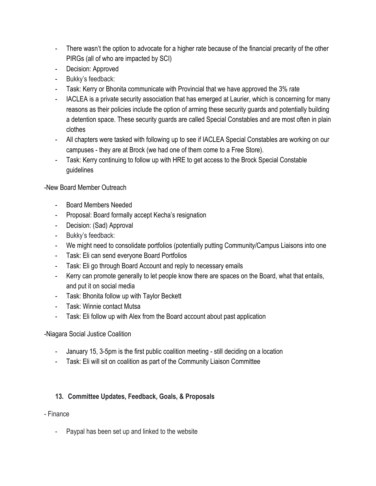- There wasn't the option to advocate for a higher rate because of the financial precarity of the other PIRGs (all of who are impacted by SCI)
- Decision: Approved
- Bukky's feedback:
- Task: Kerry or Bhonita communicate with Provincial that we have approved the 3% rate
- IACLEA is a private security association that has emerged at Laurier, which is concerning for many reasons as their policies include the option of arming these security guards and potentially building a detention space. These security guards are called Special Constables and are most often in plain clothes
- All chapters were tasked with following up to see if IACLEA Special Constables are working on our campuses - they are at Brock (we had one of them come to a Free Store).
- Task: Kerry continuing to follow up with HRE to get access to the Brock Special Constable guidelines

# -New Board Member Outreach

- Board Members Needed
- Proposal: Board formally accept Kecha's resignation
- Decision: (Sad) Approval
- Bukky's feedback:
- We might need to consolidate portfolios (potentially putting Community/Campus Liaisons into one
- Task: Eli can send everyone Board Portfolios
- Task: Eli go through Board Account and reply to necessary emails
- Kerry can promote generally to let people know there are spaces on the Board, what that entails, and put it on social media
- Task: Bhonita follow up with Taylor Beckett
- Task: Winnie contact Mutsa
- Task: Eli follow up with Alex from the Board account about past application

# -Niagara Social Justice Coalition

- January 15, 3-5pm is the first public coalition meeting still deciding on a location
- Task: Eli will sit on coalition as part of the Community Liaison Committee

# **13. Committee Updates, Feedback, Goals, & Proposals**

- Finance
	- Paypal has been set up and linked to the website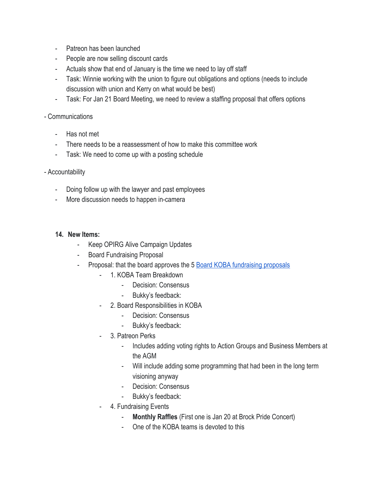- Patreon has been launched
- People are now selling discount cards
- Actuals show that end of January is the time we need to lay off staff
- Task: Winnie working with the union to figure out obligations and options (needs to include discussion with union and Kerry on what would be best)
- Task: For Jan 21 Board Meeting, we need to review a staffing proposal that offers options

#### - Communications

- Has not met
- There needs to be a reassessment of how to make this committee work
- Task: We need to come up with a posting schedule

#### - Accountability

- Doing follow up with the lawyer and past employees
- More discussion needs to happen in-camera

#### **14. New Items:**

- Keep OPIRG Alive Campaign Updates
- Board Fundraising Proposal
- Proposal: that the board approves the 5 [Board KOBA fundraising proposals](https://docs.google.com/document/d/1JtqnwP9NTqz6OxryCkExCz65lyynzpXi5BNZc9XeDkY/edit)
	- 1. KOBA Team Breakdown
		- Decision: Consensus
		- Bukky's feedback:
	- 2. Board Responsibilities in KOBA
		- Decision: Consensus
		- Bukky's feedback:
	- 3. Patreon Perks
		- Includes adding voting rights to Action Groups and Business Members at the AGM
		- Will include adding some programming that had been in the long term visioning anyway
		- Decision: Consensus
		- Bukky's feedback:
	- 4. Fundraising Events
		- **Monthly Raffles** (First one is Jan 20 at Brock Pride Concert)
		- One of the KOBA teams is devoted to this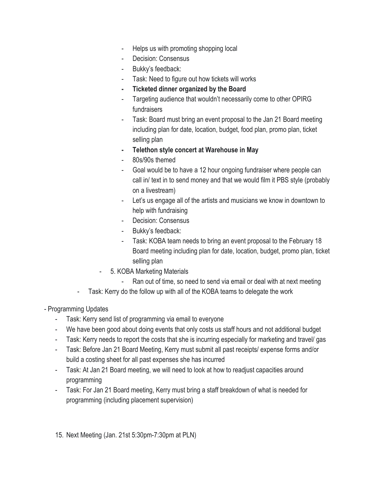- Helps us with promoting shopping local
- Decision: Consensus
- Bukky's feedback:
- Task: Need to figure out how tickets will works
- **- Ticketed dinner organized by the Board**
- Targeting audience that wouldn't necessarily come to other OPIRG fundraisers
- Task: Board must bring an event proposal to the Jan 21 Board meeting including plan for date, location, budget, food plan, promo plan, ticket selling plan
- **- Telethon style concert at Warehouse in May**
- 80s/90s themed
- Goal would be to have a 12 hour ongoing fundraiser where people can call in/ text in to send money and that we would film it PBS style (probably on a livestream)
- Let's us engage all of the artists and musicians we know in downtown to help with fundraising
- Decision: Consensus
- Bukky's feedback:
- Task: KOBA team needs to bring an event proposal to the February 18 Board meeting including plan for date, location, budget, promo plan, ticket selling plan
- 5. KOBA Marketing Materials
	- Ran out of time, so need to send via email or deal with at next meeting
- Task: Kerry do the follow up with all of the KOBA teams to delegate the work
- Programming Updates
	- Task: Kerry send list of programming via email to everyone
	- We have been good about doing events that only costs us staff hours and not additional budget
	- Task: Kerry needs to report the costs that she is incurring especially for marketing and travel/ gas
	- Task: Before Jan 21 Board Meeting, Kerry must submit all past receipts/ expense forms and/or build a costing sheet for all past expenses she has incurred
	- Task: At Jan 21 Board meeting, we will need to look at how to readjust capacities around programming
	- Task: For Jan 21 Board meeting, Kerry must bring a staff breakdown of what is needed for programming (including placement supervision)
	- 15. Next Meeting (Jan. 21st 5:30pm-7:30pm at PLN)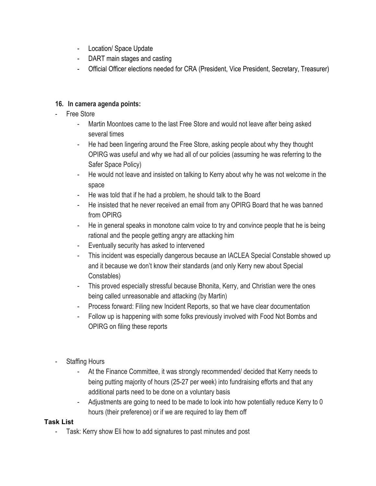- Location/ Space Update
- DART main stages and casting
- Official Officer elections needed for CRA (President, Vice President, Secretary, Treasurer)

# **16. In camera agenda points:**

- Free Store
	- Martin Moontoes came to the last Free Store and would not leave after being asked several times
	- He had been lingering around the Free Store, asking people about why they thought OPIRG was useful and why we had all of our policies (assuming he was referring to the Safer Space Policy)
	- He would not leave and insisted on talking to Kerry about why he was not welcome in the space
	- He was told that if he had a problem, he should talk to the Board
	- He insisted that he never received an email from any OPIRG Board that he was banned from OPIRG
	- He in general speaks in monotone calm voice to try and convince people that he is being rational and the people getting angry are attacking him
	- Eventually security has asked to intervened
	- This incident was especially dangerous because an IACLEA Special Constable showed up and it because we don't know their standards (and only Kerry new about Special Constables)
	- This proved especially stressful because Bhonita, Kerry, and Christian were the ones being called unreasonable and attacking (by Martin)
	- Process forward: Filing new Incident Reports, so that we have clear documentation
	- Follow up is happening with some folks previously involved with Food Not Bombs and OPIRG on filing these reports
- Staffing Hours
	- At the Finance Committee, it was strongly recommended/ decided that Kerry needs to being putting majority of hours (25-27 per week) into fundraising efforts and that any additional parts need to be done on a voluntary basis
	- Adjustments are going to need to be made to look into how potentially reduce Kerry to 0 hours (their preference) or if we are required to lay them off

# **Task List**

- Task: Kerry show Eli how to add signatures to past minutes and post